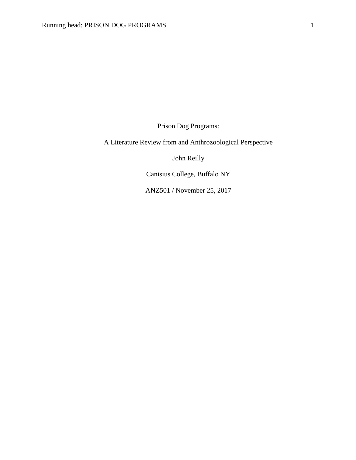Prison Dog Programs:

A Literature Review from and Anthrozoological Perspective

John Reilly

Canisius College, Buffalo NY

ANZ501 / November 25, 2017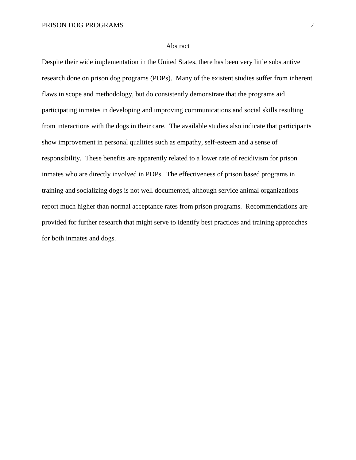## Abstract

Despite their wide implementation in the United States, there has been very little substantive research done on prison dog programs (PDPs). Many of the existent studies suffer from inherent flaws in scope and methodology, but do consistently demonstrate that the programs aid participating inmates in developing and improving communications and social skills resulting from interactions with the dogs in their care. The available studies also indicate that participants show improvement in personal qualities such as empathy, self-esteem and a sense of responsibility. These benefits are apparently related to a lower rate of recidivism for prison inmates who are directly involved in PDPs. The effectiveness of prison based programs in training and socializing dogs is not well documented, although service animal organizations report much higher than normal acceptance rates from prison programs. Recommendations are provided for further research that might serve to identify best practices and training approaches for both inmates and dogs.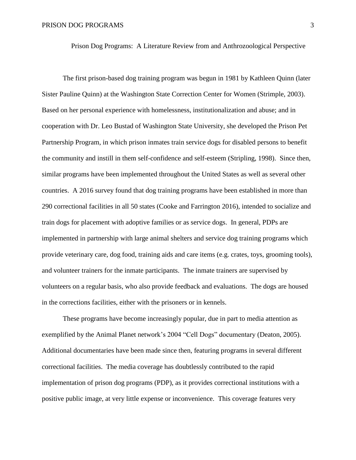Prison Dog Programs: A Literature Review from and Anthrozoological Perspective

The first prison-based dog training program was begun in 1981 by Kathleen Quinn (later Sister Pauline Quinn) at the Washington State Correction Center for Women (Strimple, 2003). Based on her personal experience with homelessness, institutionalization and abuse; and in cooperation with Dr. Leo Bustad of Washington State University, she developed the Prison Pet Partnership Program, in which prison inmates train service dogs for disabled persons to benefit the community and instill in them self-confidence and self-esteem (Stripling, 1998). Since then, similar programs have been implemented throughout the United States as well as several other countries. A 2016 survey found that dog training programs have been established in more than 290 correctional facilities in all 50 states (Cooke and Farrington 2016), intended to socialize and train dogs for placement with adoptive families or as service dogs. In general, PDPs are implemented in partnership with large animal shelters and service dog training programs which provide veterinary care, dog food, training aids and care items (e.g. crates, toys, grooming tools), and volunteer trainers for the inmate participants. The inmate trainers are supervised by volunteers on a regular basis, who also provide feedback and evaluations. The dogs are housed in the corrections facilities, either with the prisoners or in kennels.

These programs have become increasingly popular, due in part to media attention as exemplified by the Animal Planet network's 2004 "Cell Dogs" documentary (Deaton, 2005). Additional documentaries have been made since then, featuring programs in several different correctional facilities. The media coverage has doubtlessly contributed to the rapid implementation of prison dog programs (PDP), as it provides correctional institutions with a positive public image, at very little expense or inconvenience. This coverage features very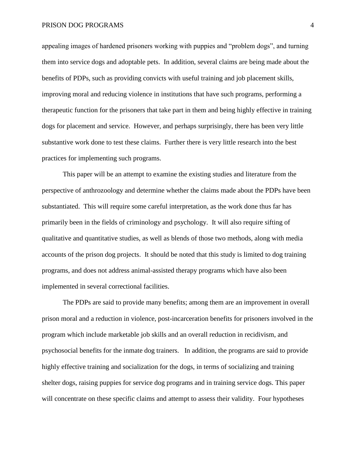## PRISON DOG PROGRAMS 4

appealing images of hardened prisoners working with puppies and "problem dogs", and turning them into service dogs and adoptable pets. In addition, several claims are being made about the benefits of PDPs, such as providing convicts with useful training and job placement skills, improving moral and reducing violence in institutions that have such programs, performing a therapeutic function for the prisoners that take part in them and being highly effective in training dogs for placement and service. However, and perhaps surprisingly, there has been very little substantive work done to test these claims. Further there is very little research into the best practices for implementing such programs.

This paper will be an attempt to examine the existing studies and literature from the perspective of anthrozoology and determine whether the claims made about the PDPs have been substantiated. This will require some careful interpretation, as the work done thus far has primarily been in the fields of criminology and psychology. It will also require sifting of qualitative and quantitative studies, as well as blends of those two methods, along with media accounts of the prison dog projects. It should be noted that this study is limited to dog training programs, and does not address animal-assisted therapy programs which have also been implemented in several correctional facilities.

The PDPs are said to provide many benefits; among them are an improvement in overall prison moral and a reduction in violence, post-incarceration benefits for prisoners involved in the program which include marketable job skills and an overall reduction in recidivism, and psychosocial benefits for the inmate dog trainers. In addition, the programs are said to provide highly effective training and socialization for the dogs, in terms of socializing and training shelter dogs, raising puppies for service dog programs and in training service dogs. This paper will concentrate on these specific claims and attempt to assess their validity. Four hypotheses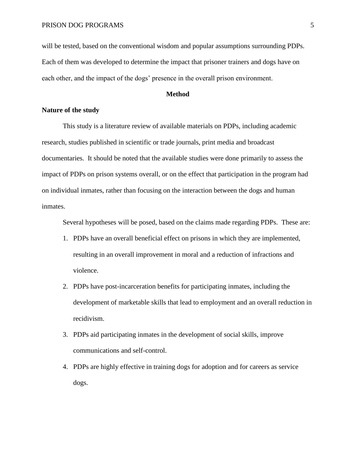will be tested, based on the conventional wisdom and popular assumptions surrounding PDPs. Each of them was developed to determine the impact that prisoner trainers and dogs have on each other, and the impact of the dogs' presence in the overall prison environment.

# **Method**

# **Nature of the study**

This study is a literature review of available materials on PDPs, including academic research, studies published in scientific or trade journals, print media and broadcast documentaries. It should be noted that the available studies were done primarily to assess the impact of PDPs on prison systems overall, or on the effect that participation in the program had on individual inmates, rather than focusing on the interaction between the dogs and human inmates.

Several hypotheses will be posed, based on the claims made regarding PDPs. These are:

- 1. PDPs have an overall beneficial effect on prisons in which they are implemented, resulting in an overall improvement in moral and a reduction of infractions and violence.
- 2. PDPs have post-incarceration benefits for participating inmates, including the development of marketable skills that lead to employment and an overall reduction in recidivism.
- 3. PDPs aid participating inmates in the development of social skills, improve communications and self-control.
- 4. PDPs are highly effective in training dogs for adoption and for careers as service dogs.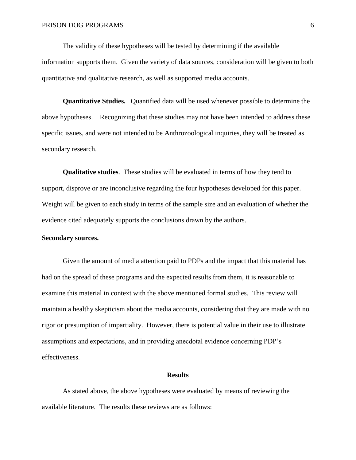The validity of these hypotheses will be tested by determining if the available information supports them. Given the variety of data sources, consideration will be given to both quantitative and qualitative research, as well as supported media accounts.

**Quantitative Studies.** Quantified data will be used whenever possible to determine the above hypotheses. Recognizing that these studies may not have been intended to address these specific issues, and were not intended to be Anthrozoological inquiries, they will be treated as secondary research.

**Qualitative studies**. These studies will be evaluated in terms of how they tend to support, disprove or are inconclusive regarding the four hypotheses developed for this paper. Weight will be given to each study in terms of the sample size and an evaluation of whether the evidence cited adequately supports the conclusions drawn by the authors.

## **Secondary sources.**

Given the amount of media attention paid to PDPs and the impact that this material has had on the spread of these programs and the expected results from them, it is reasonable to examine this material in context with the above mentioned formal studies. This review will maintain a healthy skepticism about the media accounts, considering that they are made with no rigor or presumption of impartiality. However, there is potential value in their use to illustrate assumptions and expectations, and in providing anecdotal evidence concerning PDP's effectiveness.

#### **Results**

As stated above, the above hypotheses were evaluated by means of reviewing the available literature. The results these reviews are as follows: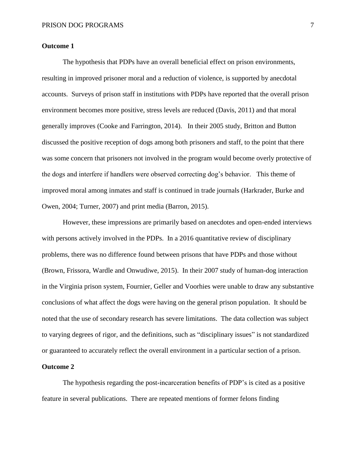# **Outcome 1**

The hypothesis that PDPs have an overall beneficial effect on prison environments, resulting in improved prisoner moral and a reduction of violence, is supported by anecdotal accounts. Surveys of prison staff in institutions with PDPs have reported that the overall prison environment becomes more positive, stress levels are reduced (Davis, 2011) and that moral generally improves (Cooke and Farrington, 2014). In their 2005 study, Britton and Button discussed the positive reception of dogs among both prisoners and staff, to the point that there was some concern that prisoners not involved in the program would become overly protective of the dogs and interfere if handlers were observed correcting dog's behavior. This theme of improved moral among inmates and staff is continued in trade journals (Harkrader, Burke and Owen, 2004; Turner, 2007) and print media (Barron, 2015).

However, these impressions are primarily based on anecdotes and open-ended interviews with persons actively involved in the PDPs. In a 2016 quantitative review of disciplinary problems, there was no difference found between prisons that have PDPs and those without (Brown, Frissora, Wardle and Onwudiwe, 2015). In their 2007 study of human-dog interaction in the Virginia prison system, Fournier, Geller and Voorhies were unable to draw any substantive conclusions of what affect the dogs were having on the general prison population. It should be noted that the use of secondary research has severe limitations. The data collection was subject to varying degrees of rigor, and the definitions, such as "disciplinary issues" is not standardized or guaranteed to accurately reflect the overall environment in a particular section of a prison.

# **Outcome 2**

The hypothesis regarding the post-incarceration benefits of PDP's is cited as a positive feature in several publications. There are repeated mentions of former felons finding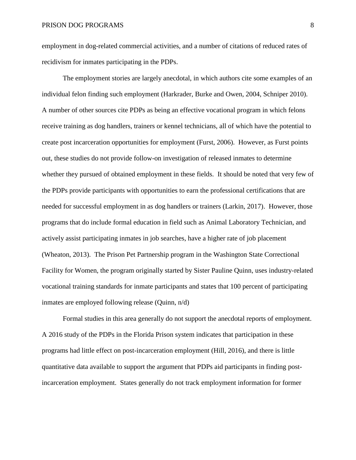employment in dog-related commercial activities, and a number of citations of reduced rates of recidivism for inmates participating in the PDPs.

The employment stories are largely anecdotal, in which authors cite some examples of an individual felon finding such employment (Harkrader, Burke and Owen, 2004, Schniper 2010). A number of other sources cite PDPs as being an effective vocational program in which felons receive training as dog handlers, trainers or kennel technicians, all of which have the potential to create post incarceration opportunities for employment (Furst, 2006). However, as Furst points out, these studies do not provide follow-on investigation of released inmates to determine whether they pursued of obtained employment in these fields. It should be noted that very few of the PDPs provide participants with opportunities to earn the professional certifications that are needed for successful employment in as dog handlers or trainers (Larkin, 2017). However, those programs that do include formal education in field such as Animal Laboratory Technician, and actively assist participating inmates in job searches, have a higher rate of job placement (Wheaton, 2013). The Prison Pet Partnership program in the Washington State Correctional Facility for Women, the program originally started by Sister Pauline Quinn, uses industry-related vocational training standards for inmate participants and states that 100 percent of participating inmates are employed following release (Quinn, n/d)

Formal studies in this area generally do not support the anecdotal reports of employment. A 2016 study of the PDPs in the Florida Prison system indicates that participation in these programs had little effect on post-incarceration employment (Hill, 2016), and there is little quantitative data available to support the argument that PDPs aid participants in finding postincarceration employment. States generally do not track employment information for former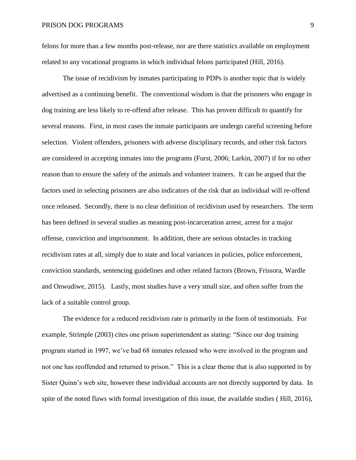felons for more than a few months post-release, nor are there statistics available on employment related to any vocational programs in which individual felons participated (Hill, 2016).

The issue of recidivism by inmates participating in PDPs is another topic that is widely advertised as a continuing benefit. The conventional wisdom is that the prisoners who engage in dog training are less likely to re-offend after release. This has proven difficult to quantify for several reasons. First, in most cases the inmate participants are undergo careful screening before selection. Violent offenders, prisoners with adverse disciplinary records, and other risk factors are considered in accepting inmates into the programs (Furst, 2006; Larkin, 2007) if for no other reason than to ensure the safety of the animals and volunteer trainers. It can be argued that the factors used in selecting prisoners are also indicators of the risk that an individual will re-offend once released. Secondly, there is no clear definition of recidivism used by researchers. The term has been defined in several studies as meaning post-incarceration arrest, arrest for a major offense, conviction and imprisonment. In addition, there are serious obstacles in tracking recidivism rates at all, simply due to state and local variances in policies, police enforcement, conviction standards, sentencing guidelines and other related factors (Brown, Frissora, Wardle and Onwudiwe, 2015). Lastly, most studies have a very small size, and often suffer from the lack of a suitable control group.

The evidence for a reduced recidivism rate is primarily in the form of testimonials. For example, Strimple (2003) cites one prison superintendent as stating: "Since our dog training program started in 1997, we've had 68 inmates released who were involved in the program and not one has reoffended and returned to prison." This is a clear theme that is also supported in by Sister Quinn's web site, however these individual accounts are not directly supported by data. In spite of the noted flaws with formal investigation of this issue, the available studies ( Hill, 2016),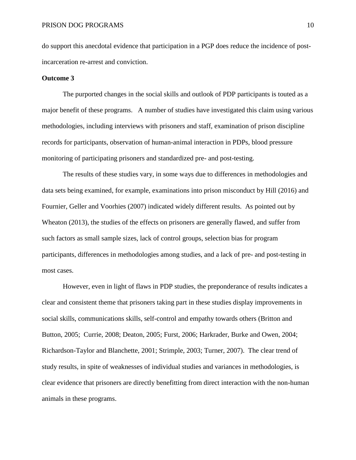do support this anecdotal evidence that participation in a PGP does reduce the incidence of postincarceration re-arrest and conviction.

### **Outcome 3**

The purported changes in the social skills and outlook of PDP participants is touted as a major benefit of these programs. A number of studies have investigated this claim using various methodologies, including interviews with prisoners and staff, examination of prison discipline records for participants, observation of human-animal interaction in PDPs, blood pressure monitoring of participating prisoners and standardized pre- and post-testing.

The results of these studies vary, in some ways due to differences in methodologies and data sets being examined, for example, examinations into prison misconduct by Hill (2016) and Fournier, Geller and Voorhies (2007) indicated widely different results. As pointed out by Wheaton (2013), the studies of the effects on prisoners are generally flawed, and suffer from such factors as small sample sizes, lack of control groups, selection bias for program participants, differences in methodologies among studies, and a lack of pre- and post-testing in most cases.

However, even in light of flaws in PDP studies, the preponderance of results indicates a clear and consistent theme that prisoners taking part in these studies display improvements in social skills, communications skills, self-control and empathy towards others (Britton and Button, 2005; Currie, 2008; Deaton, 2005; Furst, 2006; Harkrader, Burke and Owen, 2004; Richardson-Taylor and Blanchette, 2001; Strimple, 2003; Turner, 2007). The clear trend of study results, in spite of weaknesses of individual studies and variances in methodologies, is clear evidence that prisoners are directly benefitting from direct interaction with the non-human animals in these programs.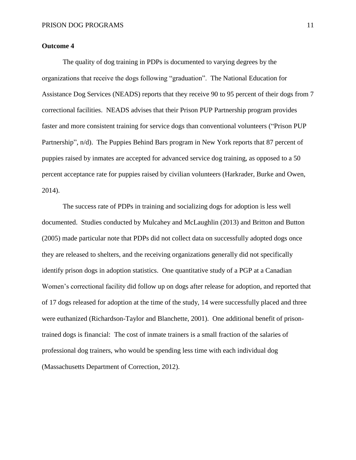# **Outcome 4**

The quality of dog training in PDPs is documented to varying degrees by the organizations that receive the dogs following "graduation". The National Education for Assistance Dog Services (NEADS) reports that they receive 90 to 95 percent of their dogs from 7 correctional facilities. NEADS advises that their Prison PUP Partnership program provides faster and more consistent training for service dogs than conventional volunteers ("Prison PUP Partnership", n/d). The Puppies Behind Bars program in New York reports that 87 percent of puppies raised by inmates are accepted for advanced service dog training, as opposed to a 50 percent acceptance rate for puppies raised by civilian volunteers (Harkrader, Burke and Owen, 2014).

The success rate of PDPs in training and socializing dogs for adoption is less well documented. Studies conducted by Mulcahey and McLaughlin (2013) and Britton and Button (2005) made particular note that PDPs did not collect data on successfully adopted dogs once they are released to shelters, and the receiving organizations generally did not specifically identify prison dogs in adoption statistics. One quantitative study of a PGP at a Canadian Women's correctional facility did follow up on dogs after release for adoption, and reported that of 17 dogs released for adoption at the time of the study, 14 were successfully placed and three were euthanized (Richardson-Taylor and Blanchette, 2001). One additional benefit of prisontrained dogs is financial: The cost of inmate trainers is a small fraction of the salaries of professional dog trainers, who would be spending less time with each individual dog (Massachusetts Department of Correction, 2012).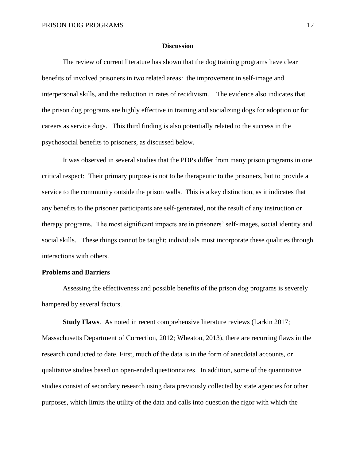## **Discussion**

The review of current literature has shown that the dog training programs have clear benefits of involved prisoners in two related areas: the improvement in self-image and interpersonal skills, and the reduction in rates of recidivism. The evidence also indicates that the prison dog programs are highly effective in training and socializing dogs for adoption or for careers as service dogs. This third finding is also potentially related to the success in the psychosocial benefits to prisoners, as discussed below.

It was observed in several studies that the PDPs differ from many prison programs in one critical respect: Their primary purpose is not to be therapeutic to the prisoners, but to provide a service to the community outside the prison walls. This is a key distinction, as it indicates that any benefits to the prisoner participants are self-generated, not the result of any instruction or therapy programs. The most significant impacts are in prisoners' self-images, social identity and social skills. These things cannot be taught; individuals must incorporate these qualities through interactions with others.

# **Problems and Barriers**

Assessing the effectiveness and possible benefits of the prison dog programs is severely hampered by several factors.

**Study Flaws**. As noted in recent comprehensive literature reviews (Larkin 2017; Massachusetts Department of Correction, 2012; Wheaton, 2013), there are recurring flaws in the research conducted to date. First, much of the data is in the form of anecdotal accounts, or qualitative studies based on open-ended questionnaires. In addition, some of the quantitative studies consist of secondary research using data previously collected by state agencies for other purposes, which limits the utility of the data and calls into question the rigor with which the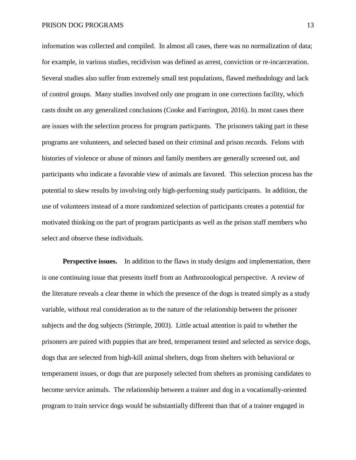information was collected and compiled. In almost all cases, there was no normalization of data; for example, in various studies, recidivism was defined as arrest, conviction or re-incarceration. Several studies also suffer from extremely small test populations, flawed methodology and lack of control groups. Many studies involved only one program in one corrections facility, which casts doubt on any generalized conclusions (Cooke and Farrington, 2016). In most cases there are issues with the selection process for program particpants. The prisoners taking part in these programs are volunteers, and selected based on their criminal and prison records. Felons with histories of violence or abuse of minors and family members are generally screened out, and participants who indicate a favorable view of animals are favored. This selection process has the potential to skew results by involving only high-performing study participants. In addition, the use of volunteers instead of a more randomized selection of participants creates a potential for motivated thinking on the part of program participants as well as the prison staff members who select and observe these individuals.

**Perspective issues.** In addition to the flaws in study designs and implementation, there is one continuing issue that presents itself from an Anthrozoological perspective. A review of the literature reveals a clear theme in which the presence of the dogs is treated simply as a study variable, without real consideration as to the nature of the relationship between the prisoner subjects and the dog subjects (Strimple, 2003). Little actual attention is paid to whether the prisoners are paired with puppies that are bred, temperament tested and selected as service dogs, dogs that are selected from high-kill animal shelters, dogs from shelters with behavioral or temperament issues, or dogs that are purposely selected from shelters as promising candidates to become service animals. The relationship between a trainer and dog in a vocationally-oriented program to train service dogs would be substantially different than that of a trainer engaged in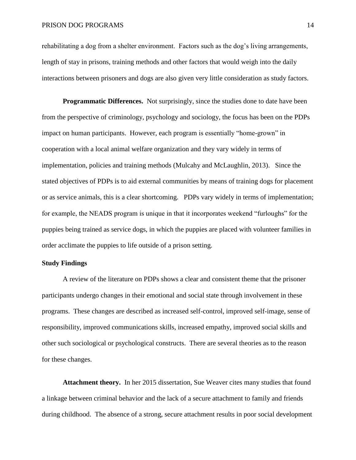rehabilitating a dog from a shelter environment. Factors such as the dog's living arrangements, length of stay in prisons, training methods and other factors that would weigh into the daily interactions between prisoners and dogs are also given very little consideration as study factors.

**Programmatic Differences.** Not surprisingly, since the studies done to date have been from the perspective of criminology, psychology and sociology, the focus has been on the PDPs impact on human participants. However, each program is essentially "home-grown" in cooperation with a local animal welfare organization and they vary widely in terms of implementation, policies and training methods (Mulcahy and McLaughlin, 2013).Since the stated objectives of PDPs is to aid external communities by means of training dogs for placement or as service animals, this is a clear shortcoming. PDPs vary widely in terms of implementation; for example, the NEADS program is unique in that it incorporates weekend "furloughs" for the puppies being trained as service dogs, in which the puppies are placed with volunteer families in order acclimate the puppies to life outside of a prison setting.

# **Study Findings**

A review of the literature on PDPs shows a clear and consistent theme that the prisoner participants undergo changes in their emotional and social state through involvement in these programs. These changes are described as increased self-control, improved self-image, sense of responsibility, improved communications skills, increased empathy, improved social skills and other such sociological or psychological constructs. There are several theories as to the reason for these changes.

**Attachment theory.** In her 2015 dissertation, Sue Weaver cites many studies that found a linkage between criminal behavior and the lack of a secure attachment to family and friends during childhood. The absence of a strong, secure attachment results in poor social development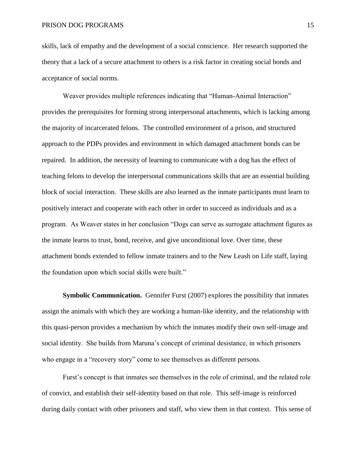skills, lack of empathy and the development of a social conscience. Her research supported the theory that a lack of a secure attachment to others is a risk factor in creating social bonds and acceptance of social norms.

Weaver provides multiple references indicating that "Human-Animal Interaction" provides the prerequisites for forming strong interpersonal attachments, which is lacking among the majority of incarcerated felons. The controlled environment of a prison, and structured approach to the PDPs provides and environment in which damaged attachment bonds can be repaired. In addition, the necessity of learning to communicate with a dog has the effect of teaching felons to develop the interpersonal communications skills that are an essential building block of social interaction. These skills are also learned as the inmate participants must learn to positively interact and cooperate with each other in order to succeed as individuals and as a program. As Weaver states in her conclusion "Dogs can serve as surrogate attachment figures as the inmate learns to trust, bond, receive, and give unconditional love. Over time, these attachment bonds extended to fellow inmate trainers and to the New Leash on Life staff, laying the foundation upon which social skills were built."

**Symbolic Communication.** Gennifer Furst (2007) explores the possibility that inmates assign the animals with which they are working a human-like identity, and the relationship with this quasi-person provides a mechanism by which the inmates modify their own self-image and social identity. She builds from Maruna's concept of criminal desistance, in which prisoners who engage in a "recovery story" come to see themselves as different persons.

Furst's concept is that inmates see themselves in the role of criminal, and the related role of convict, and establish their self-identity based on that role. This self-image is reinforced during daily contact with other prisoners and staff, who view them in that context. This sense of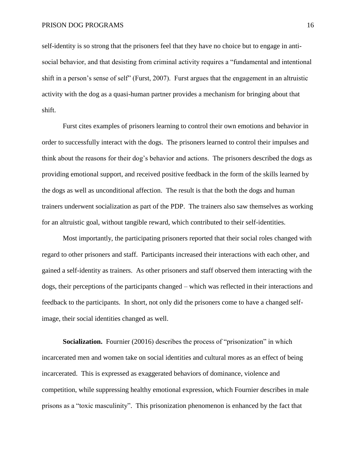self-identity is so strong that the prisoners feel that they have no choice but to engage in antisocial behavior, and that desisting from criminal activity requires a "fundamental and intentional shift in a person's sense of self" (Furst, 2007). Furst argues that the engagement in an altruistic activity with the dog as a quasi-human partner provides a mechanism for bringing about that shift.

Furst cites examples of prisoners learning to control their own emotions and behavior in order to successfully interact with the dogs. The prisoners learned to control their impulses and think about the reasons for their dog's behavior and actions. The prisoners described the dogs as providing emotional support, and received positive feedback in the form of the skills learned by the dogs as well as unconditional affection. The result is that the both the dogs and human trainers underwent socialization as part of the PDP. The trainers also saw themselves as working for an altruistic goal, without tangible reward, which contributed to their self-identities.

Most importantly, the participating prisoners reported that their social roles changed with regard to other prisoners and staff. Participants increased their interactions with each other, and gained a self-identity as trainers. As other prisoners and staff observed them interacting with the dogs, their perceptions of the participants changed – which was reflected in their interactions and feedback to the participants. In short, not only did the prisoners come to have a changed selfimage, their social identities changed as well.

**Socialization.** Fournier (20016) describes the process of "prisonization" in which incarcerated men and women take on social identities and cultural mores as an effect of being incarcerated. This is expressed as exaggerated behaviors of dominance, violence and competition, while suppressing healthy emotional expression, which Fournier describes in male prisons as a "toxic masculinity". This prisonization phenomenon is enhanced by the fact that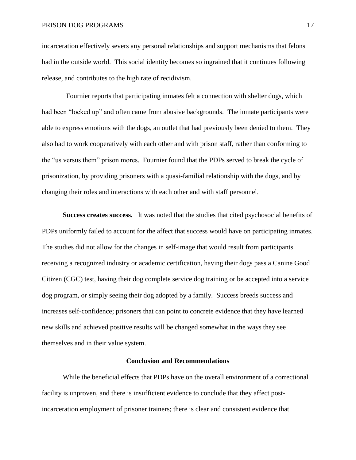incarceration effectively severs any personal relationships and support mechanisms that felons had in the outside world. This social identity becomes so ingrained that it continues following release, and contributes to the high rate of recidivism.

 Fournier reports that participating inmates felt a connection with shelter dogs, which had been "locked up" and often came from abusive backgrounds. The inmate participants were able to express emotions with the dogs, an outlet that had previously been denied to them. They also had to work cooperatively with each other and with prison staff, rather than conforming to the "us versus them" prison mores. Fournier found that the PDPs served to break the cycle of prisonization, by providing prisoners with a quasi-familial relationship with the dogs, and by changing their roles and interactions with each other and with staff personnel.

**Success creates success.** It was noted that the studies that cited psychosocial benefits of PDPs uniformly failed to account for the affect that success would have on participating inmates. The studies did not allow for the changes in self-image that would result from participants receiving a recognized industry or academic certification, having their dogs pass a Canine Good Citizen (CGC) test, having their dog complete service dog training or be accepted into a service dog program, or simply seeing their dog adopted by a family. Success breeds success and increases self-confidence; prisoners that can point to concrete evidence that they have learned new skills and achieved positive results will be changed somewhat in the ways they see themselves and in their value system.

# **Conclusion and Recommendations**

While the beneficial effects that PDPs have on the overall environment of a correctional facility is unproven, and there is insufficient evidence to conclude that they affect postincarceration employment of prisoner trainers; there is clear and consistent evidence that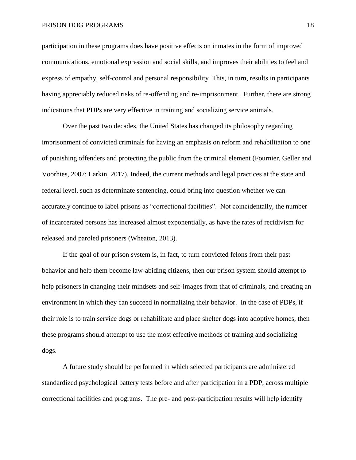### PRISON DOG PROGRAMS 18

participation in these programs does have positive effects on inmates in the form of improved communications, emotional expression and social skills, and improves their abilities to feel and express of empathy, self-control and personal responsibility This, in turn, results in participants having appreciably reduced risks of re-offending and re-imprisonment. Further, there are strong indications that PDPs are very effective in training and socializing service animals.

Over the past two decades, the United States has changed its philosophy regarding imprisonment of convicted criminals for having an emphasis on reform and rehabilitation to one of punishing offenders and protecting the public from the criminal element (Fournier, Geller and Voorhies, 2007; Larkin, 2017). Indeed, the current methods and legal practices at the state and federal level, such as determinate sentencing, could bring into question whether we can accurately continue to label prisons as "correctional facilities". Not coincidentally, the number of incarcerated persons has increased almost exponentially, as have the rates of recidivism for released and paroled prisoners (Wheaton, 2013).

If the goal of our prison system is, in fact, to turn convicted felons from their past behavior and help them become law-abiding citizens, then our prison system should attempt to help prisoners in changing their mindsets and self-images from that of criminals, and creating an environment in which they can succeed in normalizing their behavior. In the case of PDPs, if their role is to train service dogs or rehabilitate and place shelter dogs into adoptive homes, then these programs should attempt to use the most effective methods of training and socializing dogs.

A future study should be performed in which selected participants are administered standardized psychological battery tests before and after participation in a PDP, across multiple correctional facilities and programs. The pre- and post-participation results will help identify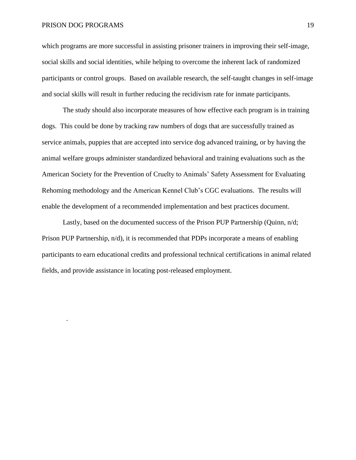## PRISON DOG PROGRAMS 19

.

which programs are more successful in assisting prisoner trainers in improving their self-image, social skills and social identities, while helping to overcome the inherent lack of randomized participants or control groups. Based on available research, the self-taught changes in self-image and social skills will result in further reducing the recidivism rate for inmate participants.

The study should also incorporate measures of how effective each program is in training dogs. This could be done by tracking raw numbers of dogs that are successfully trained as service animals, puppies that are accepted into service dog advanced training, or by having the animal welfare groups administer standardized behavioral and training evaluations such as the American Society for the Prevention of Cruelty to Animals' Safety Assessment for Evaluating Rehoming methodology and the American Kennel Club's CGC evaluations. The results will enable the development of a recommended implementation and best practices document.

Lastly, based on the documented success of the Prison PUP Partnership (Quinn, n/d; Prison PUP Partnership, n/d), it is recommended that PDPs incorporate a means of enabling participants to earn educational credits and professional technical certifications in animal related fields, and provide assistance in locating post-released employment.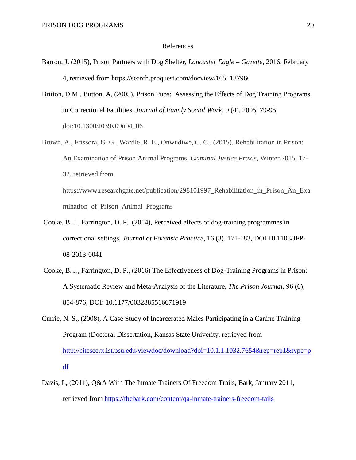## References

- Barron, J. (2015), Prison Partners with Dog Shelter, *Lancaster Eagle – Gazette*, 2016, February 4, retrieved from https://search.proquest.com/docview/1651187960
- Britton, D.M., Button, A, (2005), Prison Pups: Assessing the Effects of Dog Training Programs in Correctional Facilities, *Journal of Family Social Work*, 9 (4), 2005, 79-95, doi:10.1300/J039v09n04\_06
- Brown, A., Frissora, G. G., Wardle, R. E., Onwudiwe, C. C., (2015), Rehabilitation in Prison: An Examination of Prison Animal Programs*, Criminal Justice Praxis*, Winter 2015, 17- 32, retrieved from https://www.researchgate.net/publication/298101997\_Rehabilitation\_in\_Prison\_An\_Exa
- Cooke, B. J., Farrington, D. P. (2014), Perceived effects of dog-training programmes in correctional settings, *Journal of Forensic Practice*, 16 (3), 171-183, DOI 10.1108/JFP-08-2013-0041

mination of Prison Animal Programs

- Cooke, B. J., Farrington, D. P., (2016) The Effectiveness of Dog-Training Programs in Prison: A Systematic Review and Meta-Analysis of the Literature, *The Prison Journal*, 96 (6), 854-876, DOI: 10.1177/0032885516671919
- Currie, N. S., (2008), A Case Study of Incarcerated Males Participating in a Canine Training Program (Doctoral Dissertation, Kansas State Univerity, retrieved from [http://citeseerx.ist.psu.edu/viewdoc/download?doi=10.1.1.1032.7654&rep=rep1&type=p](http://citeseerx.ist.psu.edu/viewdoc/download?doi=10.1.1.1032.7654&rep=rep1&type=pdf) [df](http://citeseerx.ist.psu.edu/viewdoc/download?doi=10.1.1.1032.7654&rep=rep1&type=pdf)
- Davis, L, (2011), Q&A With The Inmate Trainers Of Freedom Trails, Bark, January 2011, retrieved from<https://thebark.com/content/qa-inmate-trainers-freedom-tails>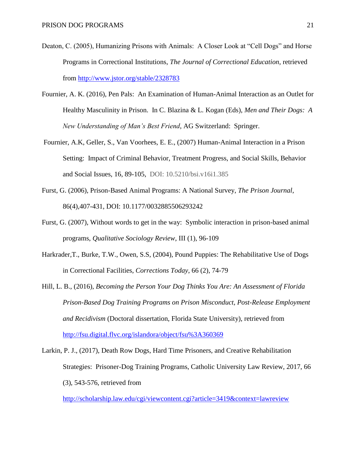- Deaton, C. (2005), Humanizing Prisons with Animals: A Closer Look at "Cell Dogs" and Horse Programs in Correctional Institutions, *The Journal of Correctional Education*, retrieved from<http://www.jstor.org/stable/2328783>
- Fournier, A. K. (2016), Pen Pals: An Examination of Human-Animal Interaction as an Outlet for Healthy Masculinity in Prison. In C. Blazina & L. Kogan (Eds), *Men and Their Dogs: A New Understanding of Man's Best Friend*, AG Switzerland: Springer.
- Fournier, A.K, Geller, S., Van Voorhees, E. E., (2007) Human-Animal Interaction in a Prison Setting: Impact of Criminal Behavior, Treatment Progress, and Social Skills, Behavior and Social Issues, 16, 89-105, DOI: 10.5210/bsi.v16i1.385
- Furst, G. (2006), Prison-Based Animal Programs: A National Survey, *The Prison Journal*, 86(4),407-431, DOI: 10.1177/0032885506293242
- Furst, G. (2007), Without words to get in the way: Symbolic interaction in prison-based animal programs, *Qualitative Sociology Review*, III (1), 96-109
- Harkrader,T., Burke, T.W., Owen, S.S, (2004), Pound Puppies: The Rehabilitative Use of Dogs in Correctional Facilities, *Corrections Today*, 66 (2), 74-79
- Hill, L. B., (2016), *Becoming the Person Your Dog Thinks You Are: An Assessment of Florida Prison-Based Dog Training Programs on Prison Misconduct, Post-Release Employment and Recidivism* (Doctoral dissertation, Florida State University), retrieved from <http://fsu.digital.flvc.org/islandora/object/fsu%3A360369>
- Larkin, P. J., (2017), Death Row Dogs, Hard Time Prisoners, and Creative Rehabilitation Strategies: Prisoner-Dog Training Programs, Catholic University Law Review, 2017, 66 (3), 543-576, retrieved from

<http://scholarship.law.edu/cgi/viewcontent.cgi?article=3419&context=lawreview>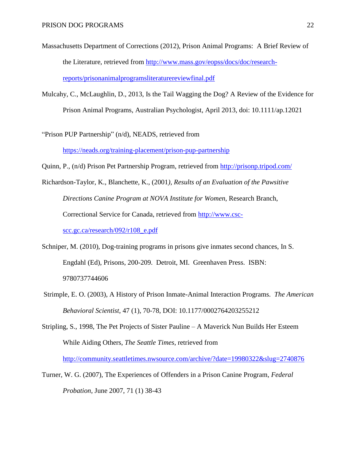- Massachusetts Department of Corrections (2012), Prison Animal Programs: A Brief Review of the Literature, retrieved from [http://www.mass.gov/eopss/docs/doc/research](http://www.mass.gov/eopss/docs/doc/research-reports/prisonanimalprogramsliteraturereviewfinal.pdf)[reports/prisonanimalprogramsliteraturereviewfinal.pdf](http://www.mass.gov/eopss/docs/doc/research-reports/prisonanimalprogramsliteraturereviewfinal.pdf)
- Mulcahy, C., McLaughlin, D., 2013, Is the Tail Wagging the Dog? A Review of the Evidence for Prison Animal Programs, Australian Psychologist, April 2013, doi: 10.1111/ap.12021
- "Prison PUP Partnership" (n/d), NEADS, retrieved from <https://neads.org/training-placement/prison-pup-partnership>

Quinn, P., (n/d) Prison Pet Partnership Program, retrieved from<http://prisonp.tripod.com/>

- Richardson-Taylor, K., Blanchette, K., (2001*), Results of an Evaluation of the Pawsitive Directions Canine Program at NOVA Institute for Women*, Research Branch, Correctional Service for Canada, retrieved from [http://www.csc](http://www.csc-scc.gc.ca/research/092/r108_e.pdf)[scc.gc.ca/research/092/r108\\_e.pdf](http://www.csc-scc.gc.ca/research/092/r108_e.pdf)
- Schniper, M. (2010), Dog-training programs in prisons give inmates second chances, In S. Engdahl (Ed), Prisons, 200-209. Detroit, MI. Greenhaven Press. ISBN: 9780737744606
- Strimple, E. O. (2003), A History of Prison Inmate-Animal Interaction Programs. *The American Behavioral Scientist*, 47 (1), 70-78, DOI: 10.1177/0002764203255212
- Stripling, S., 1998, The Pet Projects of Sister Pauline A Maverick Nun Builds Her Esteem While Aiding Others, *The Seattle Times*, retrieved from

<http://community.seattletimes.nwsource.com/archive/?date=19980322&slug=2740876>

Turner, W. G. (2007), The Experiences of Offenders in a Prison Canine Program, *Federal Probation*, June 2007, 71 (1) 38-43